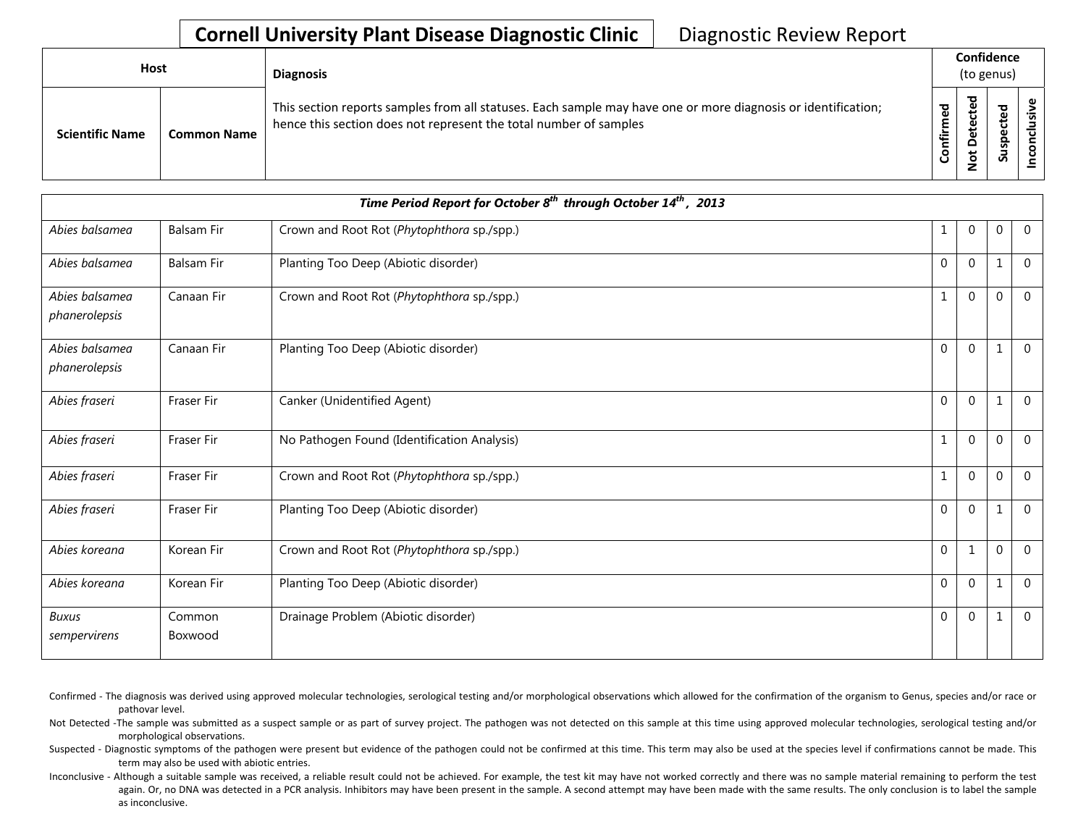| <b>Host</b> |                        |                    | <b>Diagnosis</b>                                                                                                                                                                   |                 |                                                             | Confidence<br>(to genus)         |  |  |
|-------------|------------------------|--------------------|------------------------------------------------------------------------------------------------------------------------------------------------------------------------------------|-----------------|-------------------------------------------------------------|----------------------------------|--|--|
|             | <b>Scientific Name</b> | <b>Common Name</b> | This section reports samples from all statuses. Each sample may have one or more diagnosis or identification;<br>hence this section does not represent the total number of samples | ಕ<br>Ē<br>onfir | ठ<br>$\mathbf \omega$<br>ပ<br>$\omega$<br>ω<br>۵<br>پ<br>ءِ | ਠ<br>ق<br>ں<br>Φ<br>௨<br>ັ<br>చె |  |  |

|                                 | Time Period Report for October 8 <sup>th</sup> through October 14 <sup>th</sup> , 2013 |                                             |              |                |              |                |  |  |  |
|---------------------------------|----------------------------------------------------------------------------------------|---------------------------------------------|--------------|----------------|--------------|----------------|--|--|--|
| Abies balsamea                  | <b>Balsam Fir</b>                                                                      | Crown and Root Rot (Phytophthora sp./spp.)  |              | 0              | 0            | $\mathbf 0$    |  |  |  |
| Abies balsamea                  | <b>Balsam Fir</b>                                                                      | Planting Too Deep (Abiotic disorder)        | $\mathbf{0}$ | $\overline{0}$ | $\mathbf{1}$ | $\Omega$       |  |  |  |
| Abies balsamea<br>phanerolepsis | Canaan Fir                                                                             | Crown and Root Rot (Phytophthora sp./spp.)  | $\mathbf{1}$ | $\Omega$       | $\Omega$     | $\Omega$       |  |  |  |
| Abies balsamea<br>phanerolepsis | Canaan Fir                                                                             | Planting Too Deep (Abiotic disorder)        | $\mathbf{0}$ | $\overline{0}$ | 1            | $\overline{0}$ |  |  |  |
| Abies fraseri                   | <b>Fraser Fir</b>                                                                      | Canker (Unidentified Agent)                 | $\mathbf 0$  | $\mathbf 0$    | 1            | $\Omega$       |  |  |  |
| Abies fraseri                   | <b>Fraser Fir</b>                                                                      | No Pathogen Found (Identification Analysis) | $\mathbf{1}$ | $\overline{0}$ | $\mathbf 0$  | $\overline{0}$ |  |  |  |
| Abies fraseri                   | <b>Fraser Fir</b>                                                                      | Crown and Root Rot (Phytophthora sp./spp.)  | $\mathbf{1}$ | $\mathbf 0$    | $\theta$     | $\overline{0}$ |  |  |  |
| Abies fraseri                   | Fraser Fir                                                                             | Planting Too Deep (Abiotic disorder)        | $\mathbf{0}$ | $\mathbf{0}$   | 1            | $\Omega$       |  |  |  |
| Abies koreana                   | Korean Fir                                                                             | Crown and Root Rot (Phytophthora sp./spp.)  | $\mathbf 0$  | $\mathbf{1}$   | $\Omega$     | $\Omega$       |  |  |  |
| Abies koreana                   | Korean Fir                                                                             | Planting Too Deep (Abiotic disorder)        | $\mathbf 0$  | $\mathbf 0$    | 1            | $\Omega$       |  |  |  |
| <b>Buxus</b><br>sempervirens    | Common<br>Boxwood                                                                      | Drainage Problem (Abiotic disorder)         | $\mathbf{0}$ | $\Omega$       | 1            | $\overline{0}$ |  |  |  |

Confirmed - The diagnosis was derived using approved molecular technologies, serological testing and/or morphological observations which allowed for the confirmation of the organism to Genus, species and/or race or pathovar level.

Not Detected -The sample was submitted as a suspect sample or as part of survey project. The pathogen was not detected on this sample at this time using approved molecular technologies, serological testing and/or morphological observations.

Suspected - Diagnostic symptoms of the pathogen were present but evidence of the pathogen could not be confirmed at this time. This term may also be used at the species level if confirmations cannot be made. This term may also be used with abiotic entries.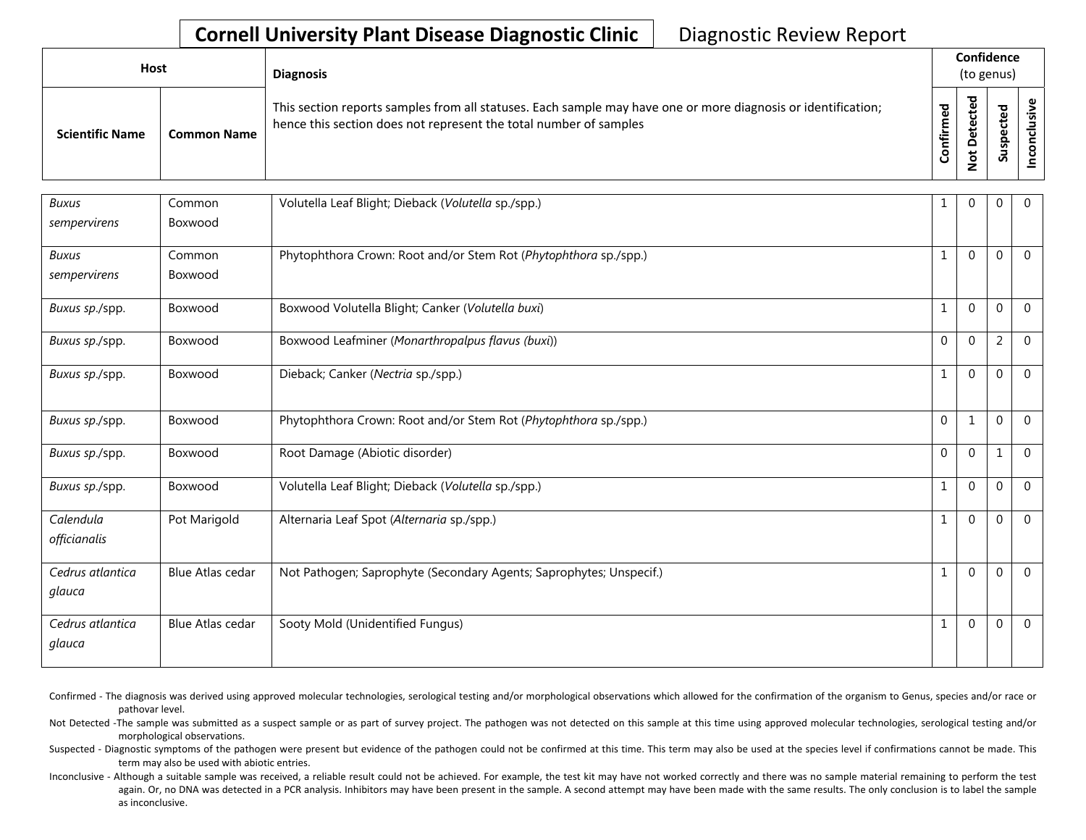| Host                   |                    | <b>Diagnosis</b>                                                                                                                                                                   | Confidence<br>(to genus) |                                                       |                                               |  |  |
|------------------------|--------------------|------------------------------------------------------------------------------------------------------------------------------------------------------------------------------------|--------------------------|-------------------------------------------------------|-----------------------------------------------|--|--|
| <b>Scientific Name</b> | <b>Common Name</b> | This section reports samples from all statuses. Each sample may have one or more diagnosis or identification;<br>hence this section does not represent the total number of samples | <u>့</u><br>Confir       | ᇰ<br>B<br>$\mathbf{\omega}$<br>پ<br>َف<br>۵<br>t<br>؋ | ਠ<br>Φ<br>ىد<br>υ<br>$\mathbf{Q}$<br>gsn<br>Ū |  |  |

| <b>Buxus</b>               | Common                  | Volutella Leaf Blight; Dieback (Volutella sp./spp.)                 | 1            | $\Omega$     | 0                | $\overline{0}$ |
|----------------------------|-------------------------|---------------------------------------------------------------------|--------------|--------------|------------------|----------------|
| sempervirens               | Boxwood                 |                                                                     |              |              |                  |                |
| <b>Buxus</b>               | Common                  | Phytophthora Crown: Root and/or Stem Rot (Phytophthora sp./spp.)    | $\mathbf{1}$ | $\Omega$     | $\mathbf 0$      | $\overline{0}$ |
| sempervirens               | Boxwood                 |                                                                     |              |              |                  |                |
| Buxus sp./spp.             | Boxwood                 | Boxwood Volutella Blight; Canker (Volutella buxi)                   | $\mathbf{1}$ | $\theta$     | 0                | $\Omega$       |
| Buxus sp./spp.             | Boxwood                 | Boxwood Leafminer (Monarthropalpus flavus (buxi))                   | $\mathbf 0$  | $\mathbf 0$  | $\overline{2}$   | $\overline{0}$ |
| Buxus sp./spp.             | Boxwood                 | Dieback; Canker (Nectria sp./spp.)                                  | $\mathbf{1}$ | $\mathbf{0}$ | $\mathbf{0}$     | $\overline{0}$ |
| Buxus sp./spp.             | Boxwood                 | Phytophthora Crown: Root and/or Stem Rot (Phytophthora sp./spp.)    | $\mathbf{0}$ | 1            | $\boldsymbol{0}$ | $\mathbf 0$    |
| Buxus sp./spp.             | Boxwood                 | Root Damage (Abiotic disorder)                                      | $\mathbf{0}$ | $\mathbf 0$  | $\mathbf{1}$     | $\overline{0}$ |
| Buxus sp./spp.             | Boxwood                 | Volutella Leaf Blight; Dieback (Volutella sp./spp.)                 | 1            | $\mathbf{0}$ | $\mathbf{0}$     | $\overline{0}$ |
| Calendula<br>officianalis  | Pot Marigold            | Alternaria Leaf Spot (Alternaria sp./spp.)                          | $\mathbf{1}$ | $\Omega$     | $\mathbf{0}$     | $\overline{0}$ |
| Cedrus atlantica<br>glauca | <b>Blue Atlas cedar</b> | Not Pathogen; Saprophyte (Secondary Agents; Saprophytes; Unspecif.) | $\mathbf{1}$ | $\Omega$     | $\mathbf{0}$     | $\overline{0}$ |
| Cedrus atlantica<br>glauca | <b>Blue Atlas cedar</b> | Sooty Mold (Unidentified Fungus)                                    | 1            | $\theta$     | $\mathbf{0}$     | $\overline{0}$ |

Confirmed - The diagnosis was derived using approved molecular technologies, serological testing and/or morphological observations which allowed for the confirmation of the organism to Genus, species and/or race or pathovar level.

Not Detected -The sample was submitted as a suspect sample or as part of survey project. The pathogen was not detected on this sample at this time using approved molecular technologies, serological testing and/or morphological observations.

Suspected - Diagnostic symptoms of the pathogen were present but evidence of the pathogen could not be confirmed at this time. This term may also be used at the species level if confirmations cannot be made. This term may also be used with abiotic entries.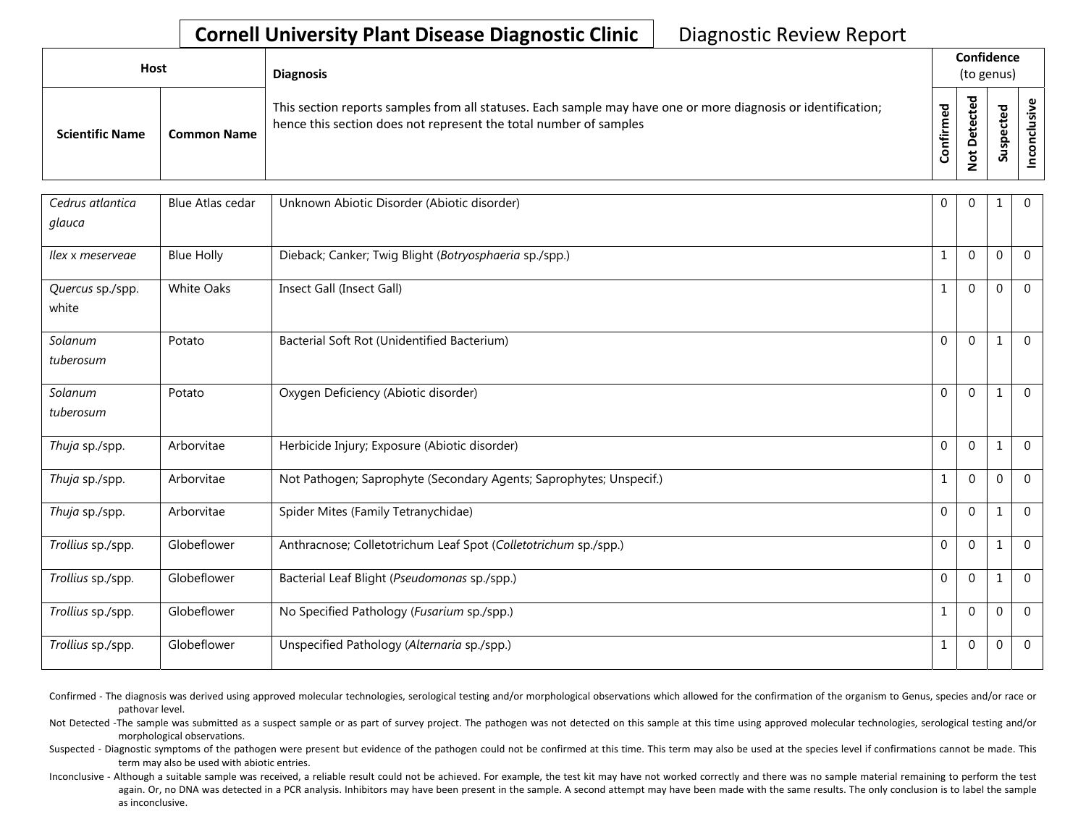| <b>Host</b>            |                    | <b>Diagnosis</b>                                                                                                                                                                   |              | Confidence<br>(to genus)     |             |   |
|------------------------|--------------------|------------------------------------------------------------------------------------------------------------------------------------------------------------------------------------|--------------|------------------------------|-------------|---|
| <b>Scientific Name</b> | <b>Common Name</b> | This section reports samples from all statuses. Each sample may have one or more diagnosis or identification;<br>hence this section does not represent the total number of samples | med<br>onfir | ᅙ<br>پ<br>o<br>پ<br><u>o</u> | ਠ<br>௨<br>៹ | ပ |

| Cedrus atlantica<br>glauca | <b>Blue Atlas cedar</b> | Unknown Abiotic Disorder (Abiotic disorder)                         | $\mathbf 0$  | $\Omega$       | 1            | $\Omega$       |
|----------------------------|-------------------------|---------------------------------------------------------------------|--------------|----------------|--------------|----------------|
| llex x meserveae           | <b>Blue Holly</b>       | Dieback; Canker; Twig Blight (Botryosphaeria sp./spp.)              | $\mathbf{1}$ | $\Omega$       | $\Omega$     | $\mathbf 0$    |
| Quercus sp./spp.<br>white  | <b>White Oaks</b>       | Insect Gall (Insect Gall)                                           | $\mathbf{1}$ | $\Omega$       | $\Omega$     | $\Omega$       |
| Solanum<br>tuberosum       | Potato                  | Bacterial Soft Rot (Unidentified Bacterium)                         | $\Omega$     | $\Omega$       |              | $\Omega$       |
| Solanum<br>tuberosum       | Potato                  | Oxygen Deficiency (Abiotic disorder)                                | $\Omega$     | $\Omega$       |              | $\Omega$       |
| Thuja sp./spp.             | Arborvitae              | Herbicide Injury; Exposure (Abiotic disorder)                       | $\mathbf 0$  | $\Omega$       |              | $\Omega$       |
| Thuja sp./spp.             | Arborvitae              | Not Pathogen; Saprophyte (Secondary Agents; Saprophytes; Unspecif.) | $\mathbf 1$  | $\Omega$       | $\Omega$     | $\mathbf 0$    |
| Thuja sp./spp.             | Arborvitae              | Spider Mites (Family Tetranychidae)                                 | $\Omega$     | $\Omega$       | $\mathbf{1}$ | $\Omega$       |
| Trollius sp./spp.          | Globeflower             | Anthracnose; Colletotrichum Leaf Spot (Colletotrichum sp./spp.)     | $\Omega$     | $\Omega$       | $\mathbf{1}$ | $\Omega$       |
| Trollius sp./spp.          | Globeflower             | Bacterial Leaf Blight (Pseudomonas sp./spp.)                        | $\mathbf 0$  | $\mathbf{0}$   |              | $\Omega$       |
| Trollius sp./spp.          | Globeflower             | No Specified Pathology (Fusarium sp./spp.)                          | $\mathbf{1}$ | $\Omega$       | $\Omega$     | $\Omega$       |
| Trollius sp./spp.          | Globeflower             | Unspecified Pathology (Alternaria sp./spp.)                         | $\mathbf 1$  | $\overline{0}$ | 0            | $\overline{0}$ |

Confirmed - The diagnosis was derived using approved molecular technologies, serological testing and/or morphological observations which allowed for the confirmation of the organism to Genus, species and/or race or pathovar level.

Not Detected -The sample was submitted as a suspect sample or as part of survey project. The pathogen was not detected on this sample at this time using approved molecular technologies, serological testing and/or morphological observations.

Suspected - Diagnostic symptoms of the pathogen were present but evidence of the pathogen could not be confirmed at this time. This term may also be used at the species level if confirmations cannot be made. This term may also be used with abiotic entries.